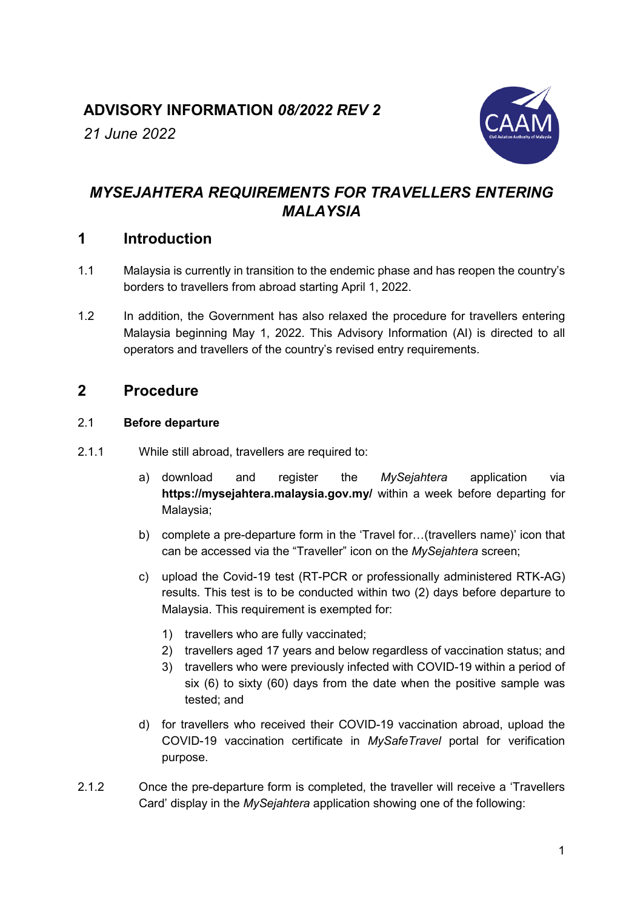# **ADVISORY INFORMATION** *08/2022 REV 2*

*21 June 2022*



# *MYSEJAHTERA REQUIREMENTS FOR TRAVELLERS ENTERING MALAYSIA*

# **1 Introduction**

- 1.1 Malaysia is currently in transition to the endemic phase and has reopen the country's borders to travellers from abroad starting April 1, 2022.
- 1.2 In addition, the Government has also relaxed the procedure for travellers entering Malaysia beginning May 1, 2022. This Advisory Information (AI) is directed to all operators and travellers of the country's revised entry requirements.

# **2 Procedure**

## 2.1 **Before departure**

- 2.1.1 While still abroad, travellers are required to:
	- a) download and register the *MySejahtera* application via **[https://mysejahtera.malaysia.gov.my/](https://mysejahtera.malaysia.gov.my/intro_en/)** within a week before departing for Malaysia;
	- b) complete a pre-departure form in the 'Travel for…(travellers name)' icon that can be accessed via the "Traveller" icon on the *MySejahtera* screen;
	- c) upload the Covid-19 test (RT-PCR or professionally administered RTK-AG) results. This test is to be conducted within two (2) days before departure to Malaysia. This requirement is exempted for:
		- 1) travellers who are fully vaccinated;
		- 2) travellers aged 17 years and below regardless of vaccination status; and
		- 3) travellers who were previously infected with COVID-19 within a period of six (6) to sixty (60) days from the date when the positive sample was tested; and
	- d) for travellers who received their COVID-19 vaccination abroad, upload the COVID-19 vaccination certificate in *MySafeTravel* portal for verification purpose.
- 2.1.2 Once the pre-departure form is completed, the traveller will receive a 'Travellers Card' display in the *MySejahtera* application showing one of the following: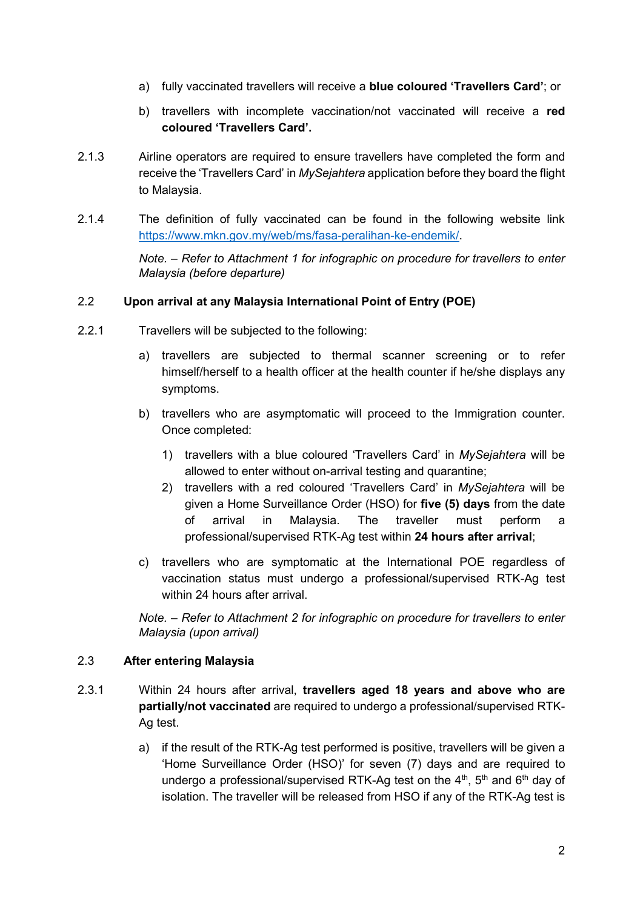- a) fully vaccinated travellers will receive a **blue coloured 'Travellers Card'**; or
- b) travellers with incomplete vaccination/not vaccinated will receive a **red coloured 'Travellers Card'.**
- 2.1.3 Airline operators are required to ensure travellers have completed the form and receive the 'Travellers Card' in *MySejahtera* application before they board the flight to Malaysia.
- 2.1.4 The definition of fully vaccinated can be found in the following website link [https://www.mkn.gov.my/web/ms/fasa-peralihan-ke-endemik/.](https://www.mkn.gov.my/web/ms/fasa-peralihan-ke-endemik/)

*Note. – Refer to Attachment 1 for infographic on procedure for travellers to enter Malaysia (before departure)*

### 2.2 **Upon arrival at any Malaysia International Point of Entry (POE)**

- 2.2.1 Travellers will be subjected to the following:
	- a) travellers are subjected to thermal scanner screening or to refer himself/herself to a health officer at the health counter if he/she displays any symptoms.
	- b) travellers who are asymptomatic will proceed to the Immigration counter. Once completed:
		- 1) travellers with a blue coloured 'Travellers Card' in *MySejahtera* will be allowed to enter without on-arrival testing and quarantine;
		- 2) travellers with a red coloured 'Travellers Card' in *MySejahtera* will be given a Home Surveillance Order (HSO) for **five (5) days** from the date of arrival in Malaysia. The traveller must perform a professional/supervised RTK-Ag test within **24 hours after arrival**;
	- c) travellers who are symptomatic at the International POE regardless of vaccination status must undergo a professional/supervised RTK-Ag test within 24 hours after arrival.

*Note. – Refer to Attachment 2 for infographic on procedure for travellers to enter Malaysia (upon arrival)*

#### 2.3 **After entering Malaysia**

- 2.3.1 Within 24 hours after arrival, **travellers aged 18 years and above who are partially/not vaccinated** are required to undergo a professional/supervised RTK-Ag test.
	- a) if the result of the RTK-Ag test performed is positive, travellers will be given a 'Home Surveillance Order (HSO)' for seven (7) days and are required to undergo a professional/supervised RTK-Ag test on the  $4<sup>th</sup>$ ,  $5<sup>th</sup>$  and  $6<sup>th</sup>$  day of isolation. The traveller will be released from HSO if any of the RTK-Ag test is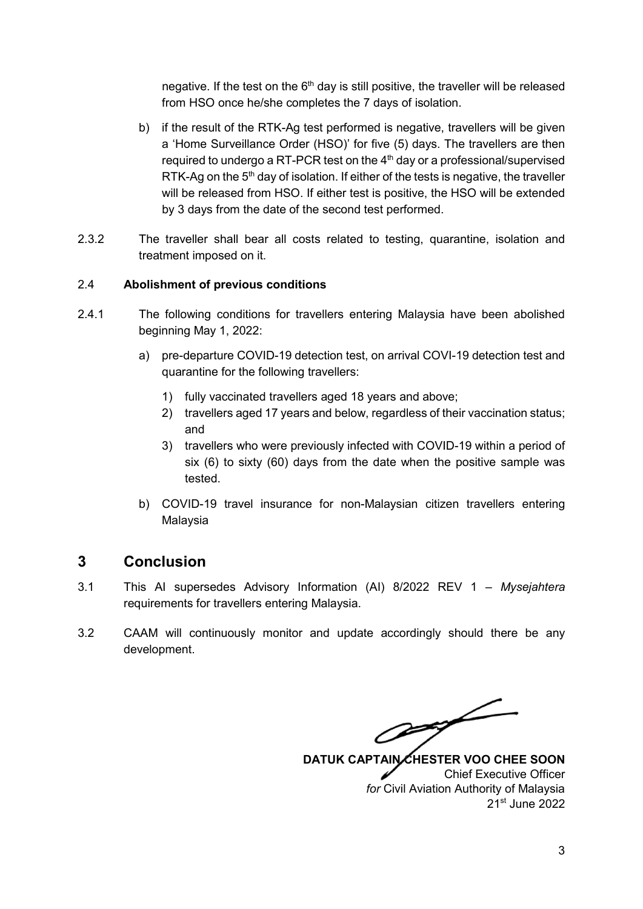negative. If the test on the  $6<sup>th</sup>$  day is still positive, the traveller will be released from HSO once he/she completes the 7 days of isolation.

- b) if the result of the RTK-Ag test performed is negative, travellers will be given a 'Home Surveillance Order (HSO)' for five (5) days. The travellers are then required to undergo a RT-PCR test on the  $4<sup>th</sup>$  day or a professional/supervised RTK-Ag on the  $5<sup>th</sup>$  day of isolation. If either of the tests is negative, the traveller will be released from HSO. If either test is positive, the HSO will be extended by 3 days from the date of the second test performed.
- 2.3.2 The traveller shall bear all costs related to testing, quarantine, isolation and treatment imposed on it.

#### 2.4 **Abolishment of previous conditions**

- 2.4.1 The following conditions for travellers entering Malaysia have been abolished beginning May 1, 2022:
	- a) pre-departure COVID-19 detection test, on arrival COVI-19 detection test and quarantine for the following travellers:
		- 1) fully vaccinated travellers aged 18 years and above;
		- 2) travellers aged 17 years and below, regardless of their vaccination status; and
		- 3) travellers who were previously infected with COVID-19 within a period of six (6) to sixty (60) days from the date when the positive sample was tested.
	- b) COVID-19 travel insurance for non-Malaysian citizen travellers entering Malaysia

## **3 Conclusion**

- 3.1 This AI supersedes Advisory Information (AI) 8/2022 REV 1 *Mysejahtera* requirements for travellers entering Malaysia.
- 3.2 CAAM will continuously monitor and update accordingly should there be any development.

Off

DATUK CAPTAIN CHESTER VOO CHEE SOON Chief Executive Officer *for* Civil Aviation Authority of Malaysia 21st June 2022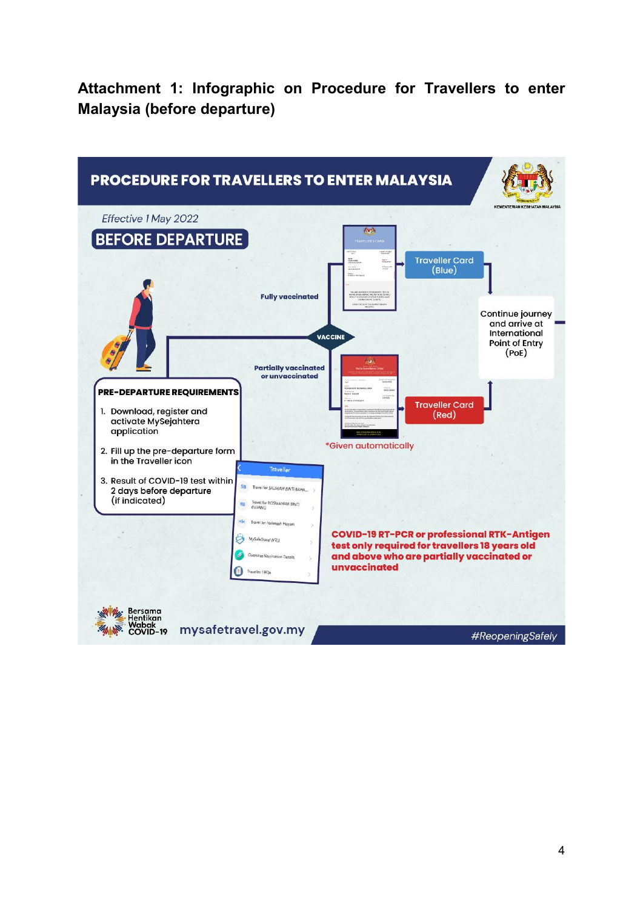**Attachment 1: Infographic on Procedure for Travellers to enter Malaysia (before departure)**